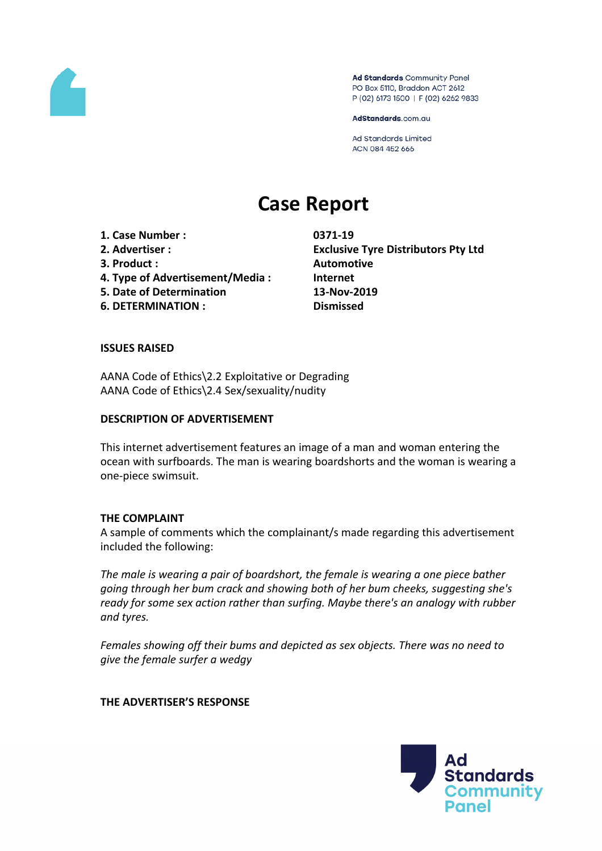

Ad Standards Community Panel PO Box 5110, Braddon ACT 2612 P (02) 6173 1500 | F (02) 6262 9833

AdStandards.com.au

**Ad Standards Limited** ACN 084 452 666

# **Case Report**

**1. Case Number : 0371-19**

- 
- **3. Product : Automotive**
- **4. Type of Advertisement/Media : Internet**
- **5. Date of Determination 13-Nov-2019**
- **6. DETERMINATION : Dismissed**

**2. Advertiser : Exclusive Tyre Distributors Pty Ltd**

### **ISSUES RAISED**

AANA Code of Ethics\2.2 Exploitative or Degrading AANA Code of Ethics\2.4 Sex/sexuality/nudity

#### **DESCRIPTION OF ADVERTISEMENT**

This internet advertisement features an image of a man and woman entering the ocean with surfboards. The man is wearing boardshorts and the woman is wearing a one-piece swimsuit.

#### **THE COMPLAINT**

A sample of comments which the complainant/s made regarding this advertisement included the following:

*The male is wearing a pair of boardshort, the female is wearing a one piece bather going through her bum crack and showing both of her bum cheeks, suggesting she's ready for some sex action rather than surfing. Maybe there's an analogy with rubber and tyres.*

*Females showing off their bums and depicted as sex objects. There was no need to give the female surfer a wedgy*

**THE ADVERTISER'S RESPONSE**

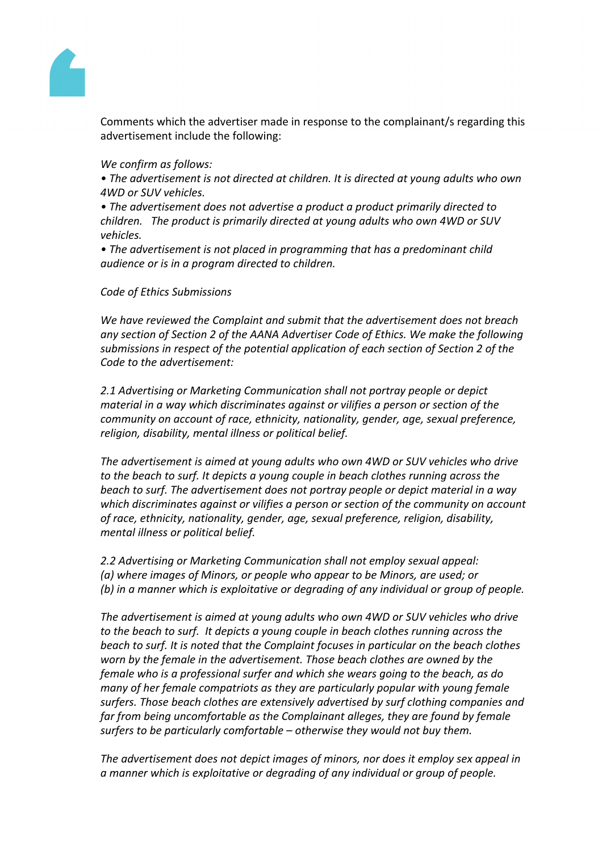

Comments which the advertiser made in response to the complainant/s regarding this advertisement include the following:

*We confirm as follows:*

*• The advertisement is not directed at children. It is directed at young adults who own 4WD or SUV vehicles.*

*• The advertisement does not advertise a product a product primarily directed to children. The product is primarily directed at young adults who own 4WD or SUV vehicles.*

*• The advertisement is not placed in programming that has a predominant child audience or is in a program directed to children.*

## *Code of Ethics Submissions*

*We have reviewed the Complaint and submit that the advertisement does not breach any section of Section 2 of the AANA Advertiser Code of Ethics. We make the following submissions in respect of the potential application of each section of Section 2 of the Code to the advertisement:*

*2.1 Advertising or Marketing Communication shall not portray people or depict material in a way which discriminates against or vilifies a person or section of the community on account of race, ethnicity, nationality, gender, age, sexual preference, religion, disability, mental illness or political belief.*

*The advertisement is aimed at young adults who own 4WD or SUV vehicles who drive to the beach to surf. It depicts a young couple in beach clothes running across the beach to surf. The advertisement does not portray people or depict material in a way which discriminates against or vilifies a person or section of the community on account of race, ethnicity, nationality, gender, age, sexual preference, religion, disability, mental illness or political belief.*

*2.2 Advertising or Marketing Communication shall not employ sexual appeal: (a) where images of Minors, or people who appear to be Minors, are used; or (b) in a manner which is exploitative or degrading of any individual or group of people.*

*The advertisement is aimed at young adults who own 4WD or SUV vehicles who drive to the beach to surf. It depicts a young couple in beach clothes running across the beach to surf. It is noted that the Complaint focuses in particular on the beach clothes worn by the female in the advertisement. Those beach clothes are owned by the female who is a professional surfer and which she wears going to the beach, as do many of her female compatriots as they are particularly popular with young female surfers. Those beach clothes are extensively advertised by surf clothing companies and far from being uncomfortable as the Complainant alleges, they are found by female surfers to be particularly comfortable – otherwise they would not buy them.*

*The advertisement does not depict images of minors, nor does it employ sex appeal in a manner which is exploitative or degrading of any individual or group of people.*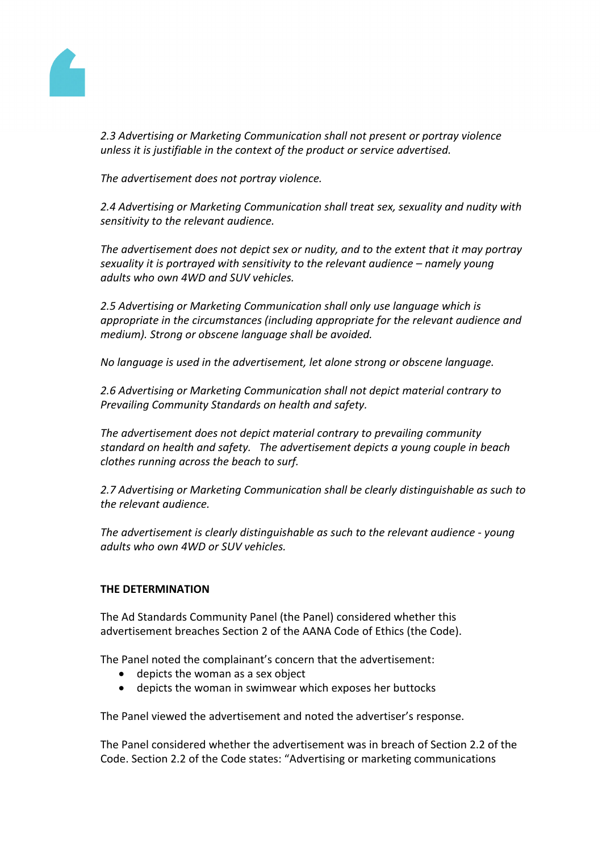

*2.3 Advertising or Marketing Communication shall not present or portray violence unless it is justifiable in the context of the product or service advertised.*

*The advertisement does not portray violence.*

*2.4 Advertising or Marketing Communication shall treat sex, sexuality and nudity with sensitivity to the relevant audience.*

*The advertisement does not depict sex or nudity, and to the extent that it may portray sexuality it is portrayed with sensitivity to the relevant audience – namely young adults who own 4WD and SUV vehicles.*

*2.5 Advertising or Marketing Communication shall only use language which is appropriate in the circumstances (including appropriate for the relevant audience and medium). Strong or obscene language shall be avoided.*

*No language is used in the advertisement, let alone strong or obscene language.*

*2.6 Advertising or Marketing Communication shall not depict material contrary to Prevailing Community Standards on health and safety.*

*The advertisement does not depict material contrary to prevailing community standard on health and safety. The advertisement depicts a young couple in beach clothes running across the beach to surf.*

*2.7 Advertising or Marketing Communication shall be clearly distinguishable as such to the relevant audience.*

*The advertisement is clearly distinguishable as such to the relevant audience - young adults who own 4WD or SUV vehicles.*

## **THE DETERMINATION**

The Ad Standards Community Panel (the Panel) considered whether this advertisement breaches Section 2 of the AANA Code of Ethics (the Code).

The Panel noted the complainant's concern that the advertisement:

- depicts the woman as a sex object
- depicts the woman in swimwear which exposes her buttocks

The Panel viewed the advertisement and noted the advertiser's response.

The Panel considered whether the advertisement was in breach of Section 2.2 of the Code. Section 2.2 of the Code states: "Advertising or marketing communications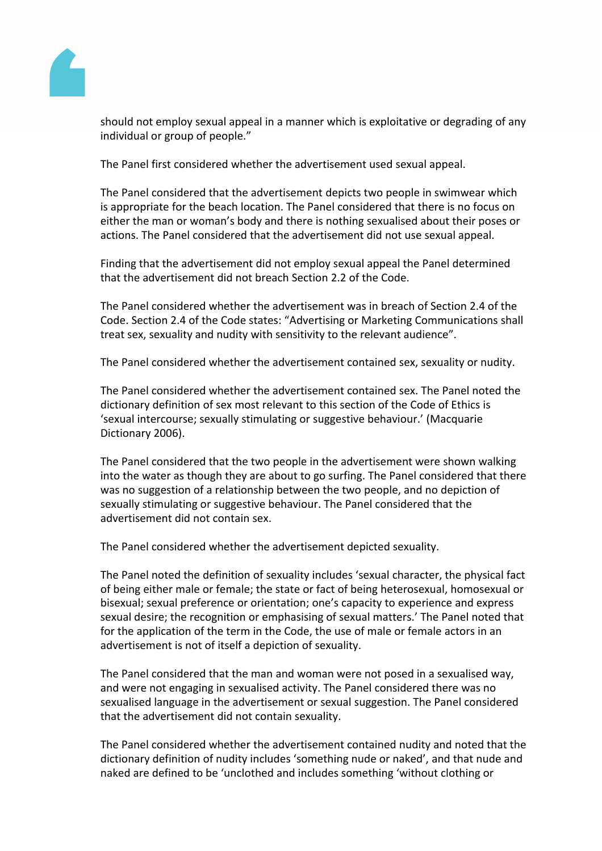

should not employ sexual appeal in a manner which is exploitative or degrading of any individual or group of people."

The Panel first considered whether the advertisement used sexual appeal.

The Panel considered that the advertisement depicts two people in swimwear which is appropriate for the beach location. The Panel considered that there is no focus on either the man or woman's body and there is nothing sexualised about their poses or actions. The Panel considered that the advertisement did not use sexual appeal.

Finding that the advertisement did not employ sexual appeal the Panel determined that the advertisement did not breach Section 2.2 of the Code.

The Panel considered whether the advertisement was in breach of Section 2.4 of the Code. Section 2.4 of the Code states: "Advertising or Marketing Communications shall treat sex, sexuality and nudity with sensitivity to the relevant audience".

The Panel considered whether the advertisement contained sex, sexuality or nudity.

The Panel considered whether the advertisement contained sex. The Panel noted the dictionary definition of sex most relevant to this section of the Code of Ethics is 'sexual intercourse; sexually stimulating or suggestive behaviour.' (Macquarie Dictionary 2006).

The Panel considered that the two people in the advertisement were shown walking into the water as though they are about to go surfing. The Panel considered that there was no suggestion of a relationship between the two people, and no depiction of sexually stimulating or suggestive behaviour. The Panel considered that the advertisement did not contain sex.

The Panel considered whether the advertisement depicted sexuality.

The Panel noted the definition of sexuality includes 'sexual character, the physical fact of being either male or female; the state or fact of being heterosexual, homosexual or bisexual; sexual preference or orientation; one's capacity to experience and express sexual desire; the recognition or emphasising of sexual matters.' The Panel noted that for the application of the term in the Code, the use of male or female actors in an advertisement is not of itself a depiction of sexuality.

The Panel considered that the man and woman were not posed in a sexualised way, and were not engaging in sexualised activity. The Panel considered there was no sexualised language in the advertisement or sexual suggestion. The Panel considered that the advertisement did not contain sexuality.

The Panel considered whether the advertisement contained nudity and noted that the dictionary definition of nudity includes 'something nude or naked', and that nude and naked are defined to be 'unclothed and includes something 'without clothing or